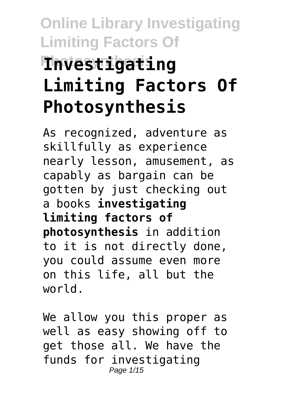# **Online Library Investigating Limiting Factors Of Photosynthesis Investigating Limiting Factors Of Photosynthesis**

As recognized, adventure as skillfully as experience nearly lesson, amusement, as capably as bargain can be gotten by just checking out a books **investigating limiting factors of photosynthesis** in addition to it is not directly done, you could assume even more on this life, all but the world.

We allow you this proper as well as easy showing off to get those all. We have the funds for investigating Page 1/15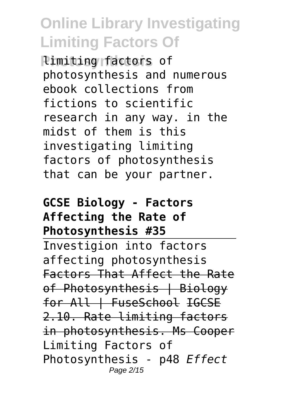**Pimiting factors of** photosynthesis and numerous ebook collections from fictions to scientific research in any way. in the midst of them is this investigating limiting factors of photosynthesis that can be your partner.

#### **GCSE Biology - Factors Affecting the Rate of Photosynthesis #35**

Investigion into factors affecting photosynthesis Factors That Affect the Rate of Photosynthesis | Biology for All | FuseSchool IGCSE 2.10. Rate limiting factors in photosynthesis. Ms Cooper Limiting Factors of Photosynthesis - p48 *Effect* Page 2/15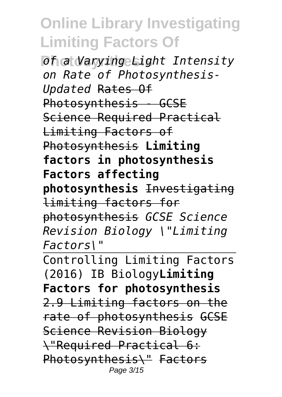**Photosynthesis** *of a Varying Light Intensity on Rate of Photosynthesis-Updated* Rates Of Photosynthesis - GCSE Science Required Practical Limiting Factors of Photosynthesis **Limiting factors in photosynthesis Factors affecting photosynthesis** Investigating limiting factors for photosynthesis *GCSE Science Revision Biology \"Limiting Factors\"*

Controlling Limiting Factors (2016) IB Biology**Limiting Factors for photosynthesis** 2.9 Limiting factors on the rate of photosynthesis GCSE Science Revision Biology \"Required Practical 6: Photosynthesis\" Factors Page 3/15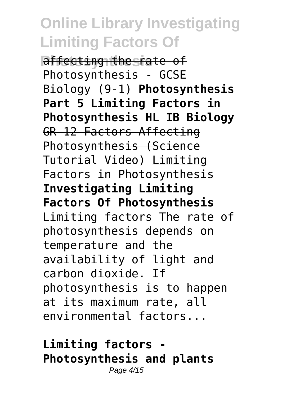**Photosynthesis affecting the rate of** Photosynthesis - GCSE Biology (9-1) **Photosynthesis Part 5 Limiting Factors in Photosynthesis HL IB Biology** GR 12 Factors Affecting Photosynthesis (Science Tutorial Video) Limiting Factors in Photosynthesis **Investigating Limiting Factors Of Photosynthesis** Limiting factors The rate of photosynthesis depends on temperature and the availability of light and carbon dioxide. If photosynthesis is to happen at its maximum rate, all environmental factors...

**Limiting factors - Photosynthesis and plants** Page 4/15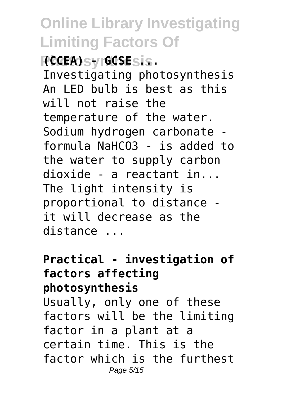**Photosynthesis (CCEA) - GCSE ...** Investigating photosynthesis An LED bulb is best as this will not raise the temperature of the water. Sodium hydrogen carbonate formula NaHCO3 - is added to the water to supply carbon dioxide - a reactant in... The light intensity is proportional to distance it will decrease as the distance ...

#### **Practical - investigation of factors affecting photosynthesis**

Usually, only one of these factors will be the limiting factor in a plant at a certain time. This is the factor which is the furthest Page 5/15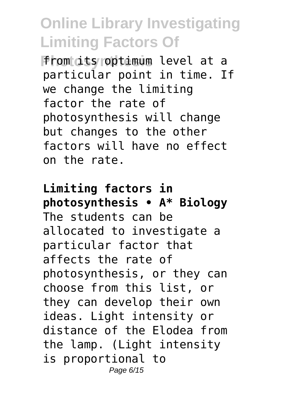**Photosynthesis** from its optimum level at a particular point in time. If we change the limiting factor the rate of photosynthesis will change but changes to the other factors will have no effect on the rate.

#### **Limiting factors in photosynthesis • A\* Biology** The students can be allocated to investigate a particular factor that affects the rate of photosynthesis, or they can choose from this list, or they can develop their own ideas. Light intensity or distance of the Elodea from the lamp. (Light intensity is proportional to Page 6/15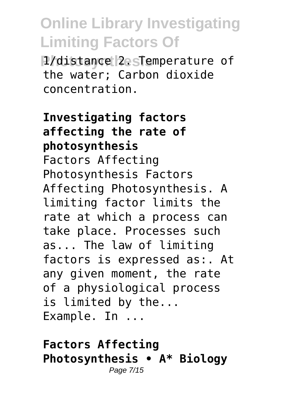**P/distance 2esTemperature of** the water; Carbon dioxide concentration.

#### **Investigating factors affecting the rate of photosynthesis**

Factors Affecting Photosynthesis Factors Affecting Photosynthesis. A limiting factor limits the rate at which a process can take place. Processes such as... The law of limiting factors is expressed as:. At any given moment, the rate of a physiological process is limited by the... Example. In ...

#### **Factors Affecting Photosynthesis • A\* Biology** Page 7/15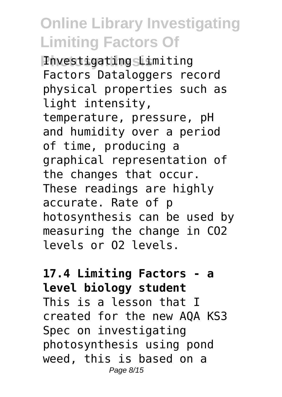**Photosynthesis** Investigating Limiting Factors Dataloggers record physical properties such as light intensity, temperature, pressure, pH and humidity over a period of time, producing a graphical representation of the changes that occur. These readings are highly accurate. Rate of p hotosynthesis can be used by measuring the change in CO2 levels or O2 levels.

#### **17.4 Limiting Factors - a level biology student** This is a lesson that I created for the new AQA KS3 Spec on investigating photosynthesis using pond weed, this is based on a Page 8/15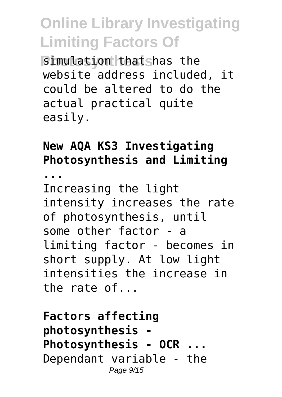**Bimulation that shas the** website address included, it could be altered to do the actual practical quite easily.

### **New AQA KS3 Investigating Photosynthesis and Limiting**

**...**

Increasing the light intensity increases the rate of photosynthesis, until some other factor - a limiting factor - becomes in short supply. At low light intensities the increase in the rate of...

**Factors affecting photosynthesis - Photosynthesis - OCR ...** Dependant variable - the Page 9/15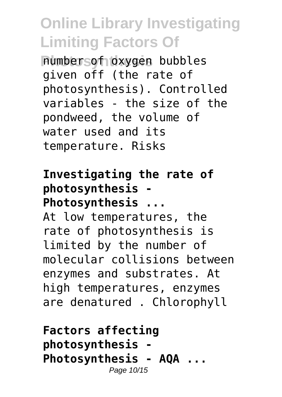**Physics** numbers of oxygen bubbles given off (the rate of photosynthesis). Controlled variables - the size of the pondweed, the volume of water used and its temperature. Risks

#### **Investigating the rate of photosynthesis - Photosynthesis ...**

At low temperatures, the rate of photosynthesis is limited by the number of molecular collisions between enzymes and substrates. At high temperatures, enzymes are denatured . Chlorophyll

**Factors affecting photosynthesis - Photosynthesis - AQA ...** Page 10/15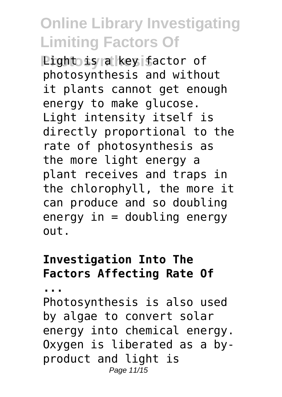Pight is a key factor of photosynthesis and without it plants cannot get enough energy to make glucose. Light intensity itself is directly proportional to the rate of photosynthesis as the more light energy a plant receives and traps in the chlorophyll, the more it can produce and so doubling  $energy$  in = doubling energy out.

### **Investigation Into The Factors Affecting Rate Of**

**...**

Photosynthesis is also used by algae to convert solar energy into chemical energy. Oxygen is liberated as a byproduct and light is Page 11/15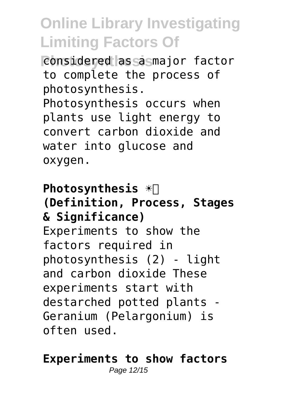**Photosidered as sa major factor** to complete the process of photosynthesis.

Photosynthesis occurs when plants use light energy to convert carbon dioxide and water into glucose and oxygen.

**Photosynthesis ☀️ (Definition, Process, Stages & Significance)** Experiments to show the factors required in photosynthesis (2) - light and carbon dioxide These experiments start with destarched potted plants - Geranium (Pelargonium) is often used.

### **Experiments to show factors**

Page 12/15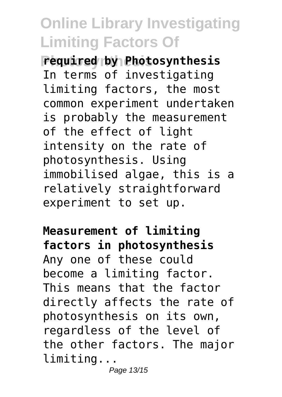**Photosynthesis required by Photosynthesis** In terms of investigating limiting factors, the most common experiment undertaken is probably the measurement of the effect of light intensity on the rate of photosynthesis. Using immobilised algae, this is a relatively straightforward experiment to set up.

**Measurement of limiting factors in photosynthesis** Any one of these could become a limiting factor. This means that the factor directly affects the rate of photosynthesis on its own, regardless of the level of the other factors. The major limiting...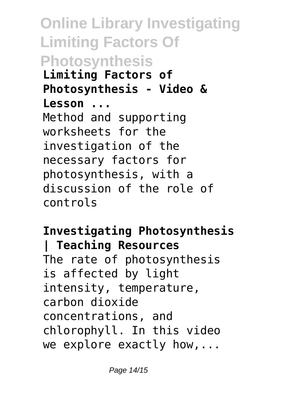**Online Library Investigating Limiting Factors Of Photosynthesis Limiting Factors of Photosynthesis - Video & Lesson ...** Method and supporting worksheets for the investigation of the necessary factors for photosynthesis, with a discussion of the role of controls

#### **Investigating Photosynthesis | Teaching Resources**

The rate of photosynthesis is affected by light intensity, temperature, carbon dioxide concentrations, and chlorophyll. In this video we explore exactly how,...